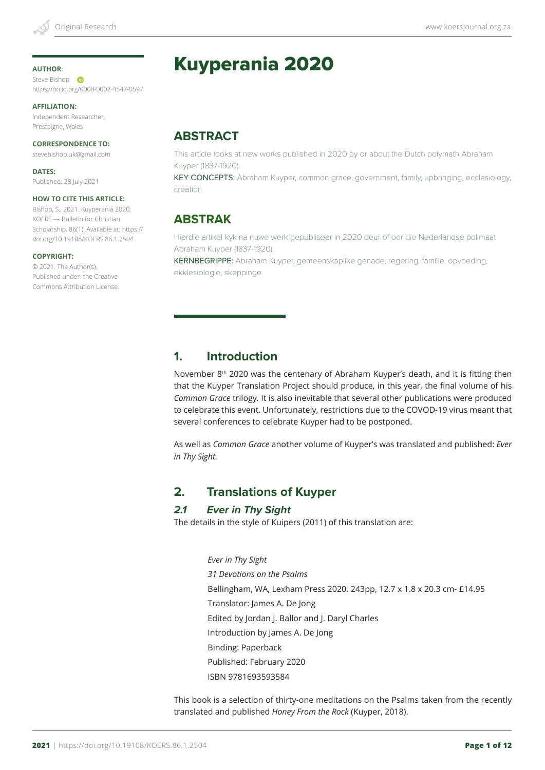#### **AUTHOR**:

Steve Bishop **D** https://orcid.org/0000-0002-4547-0597

**AFFILIATION:**

Independent Researcher, Presteigne, Wales

**CORRESPONDENCE TO:** stevebishop.uk@gmail.com

**DATES:** Published: 28 July 2021

#### **HOW TO CITE THIS ARTICLE:**

Bishop, S., 2021. Kuyperania 2020. KOERS — Bulletin for Christian Scholarship, 86(1). Available at: https:// doi.org/10.19108/KOERS.86.1.2504

#### **COPYRIGHT:**

© 2021. The Author(s). Published under the Creative Commons Attribution License.

# Kuyperania 2020

**ABSTRACT**

This article looks at new works published in 2020 by or about the Dutch polymath Abraham Kuyper (1837-1920).

KEY CONCEPTS: Abraham Kuyper, common grace, government, family, upbringing, ecclesiology, creation

## **ABSTRAK**

Hierdie artikel kyk na nuwe werk gepubliseer in 2020 deur of oor die Nederlandse polimaat Abraham Kuyper (1837-1920).

KERNBEGRIPPE: Abraham Kuyper, gemeenskaplike genade, regering, familie, opvoeding, ekklesiologie, skeppinge

# **1. Introduction**

November 8<sup>th</sup> 2020 was the centenary of Abraham Kuyper's death, and it is fitting then that the Kuyper Translation Project should produce, in this year, the final volume of his *Common Grace* trilogy*.* It is also inevitable that several other publications were produced to celebrate this event. Unfortunately, restrictions due to the COVOD-19 virus meant that several conferences to celebrate Kuyper had to be postponed.

As well as *Common Grace* another volume of Kuyper's was translated and published: *Ever in Thy Sight.*

## **2. Translations of Kuyper**

#### *2.1 Ever in Thy Sight*

The details in the style of Kuipers (2011) of this translation are:

*Ever in Thy Sight 31 Devotions on the Psalms* Bellingham, WA, Lexham Press 2020. 243pp, 12.7 x 1.8 x 20.3 cm- £14.95 Translator: James A. De Jong Edited by Jordan J. Ballor and J. Daryl Charles Introduction by James A. De Jong Binding: Paperback Published: February 2020 ISBN 9781693593584

This book is a selection of thirty-one meditations on the Psalms taken from the recently translated and published *Honey From the Rock* (Kuyper, 2018).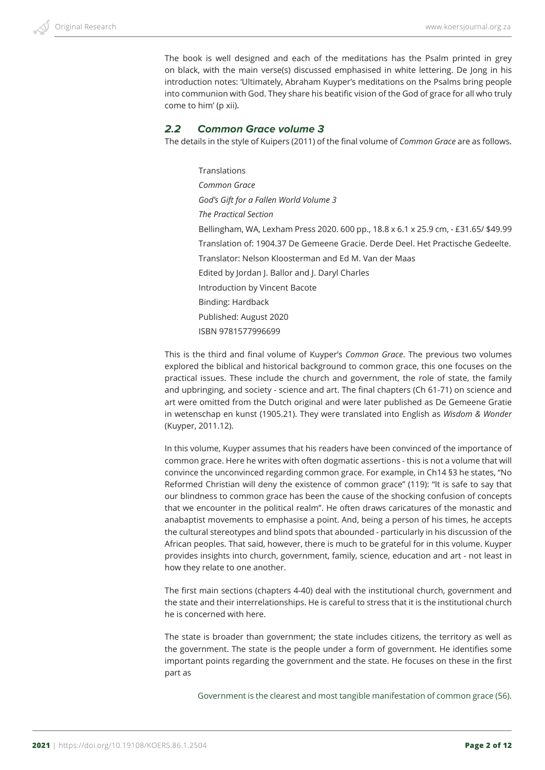The book is well designed and each of the meditations has the Psalm printed in grey on black, with the main verse(s) discussed emphasised in white lettering. De Jong in his introduction notes: 'Ultimately, Abraham Kuyper's meditations on the Psalms bring people into communion with God. They share his beatific vision of the God of grace for all who truly come to him' (p xii).

#### *2.2 Common Grace volume 3*

The details in the style of Kuipers (2011) of the final volume of *Common Grace* are as follows.

Translations *Common Grace God's Gift for a Fallen World Volume 3 The Practical Section* Bellingham, WA, Lexham Press 2020. 600 pp., 18.8 x 6.1 x 25.9 cm, - £31.65/ \$49.99 Translation of: 1904.37 De Gemeene Gracie. Derde Deel. Het Practische Gedeelte. Translator: Nelson Kloosterman and Ed M. Van der Maas Edited by Jordan J. Ballor and J. Daryl Charles Introduction by Vincent Bacote Binding: Hardback Published: August 2020 ISBN 9781577996699

This is the third and final volume of Kuyper's *Common Grace*. The previous two volumes explored the biblical and historical background to common grace, this one focuses on the practical issues. These include the church and government, the role of state, the family and upbringing, and society - science and art. The final chapters (Ch 61-71) on science and art were omitted from the Dutch original and were later published as De Gemeene Gratie in wetenschap en kunst (1905.21). They were translated into English as *Wisdom & Wonder*  (Kuyper, 2011.12).

In this volume, Kuyper assumes that his readers have been convinced of the importance of common grace. Here he writes with often dogmatic assertions - this is not a volume that will convince the unconvinced regarding common grace. For example, in Ch14 §3 he states, "No Reformed Christian will deny the existence of common grace" (119): "It is safe to say that our blindness to common grace has been the cause of the shocking confusion of concepts that we encounter in the political realm". He often draws caricatures of the monastic and anabaptist movements to emphasise a point. And, being a person of his times, he accepts the cultural stereotypes and blind spots that abounded - particularly in his discussion of the African peoples. That said, however, there is much to be grateful for in this volume. Kuyper provides insights into church, government, family, science, education and art - not least in how they relate to one another.

The first main sections (chapters 4-40) deal with the institutional church, government and the state and their interrelationships. He is careful to stress that it is the institutional church he is concerned with here.

The state is broader than government; the state includes citizens, the territory as well as the government. The state is the people under a form of government. He identifies some important points regarding the government and the state. He focuses on these in the first part as

Government is the clearest and most tangible manifestation of common grace (56).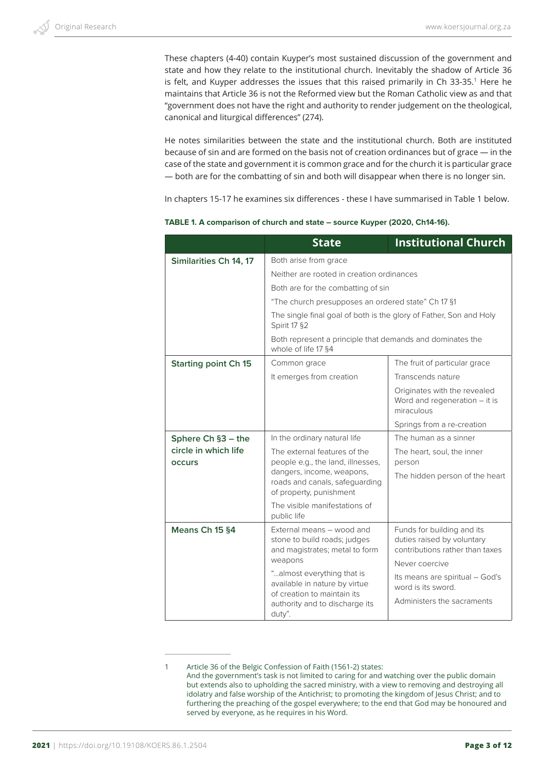These chapters (4-40) contain Kuyper's most sustained discussion of the government and state and how they relate to the institutional church. Inevitably the shadow of Article 36 is felt, and Kuyper addresses the issues that this raised primarily in Ch 33-35.<sup>1</sup> Here he maintains that Article 36 is not the Reformed view but the Roman Catholic view as and that "government does not have the right and authority to render judgement on the theological, canonical and liturgical differences" (274).

He notes similarities between the state and the institutional church. Both are instituted because of sin and are formed on the basis not of creation ordinances but of grace — in the case of the state and government it is common grace and for the church it is particular grace — both are for the combatting of sin and both will disappear when there is no longer sin.

In chapters 15-17 he examines six differences - these I have summarised in Table 1 below.

|                                       | <b>State</b>                                                                                                                                                                                                                                                                                                                             | <b>Institutional Church</b>                                                                 |
|---------------------------------------|------------------------------------------------------------------------------------------------------------------------------------------------------------------------------------------------------------------------------------------------------------------------------------------------------------------------------------------|---------------------------------------------------------------------------------------------|
| Similarities Ch 14, 17                | Both arise from grace<br>Neither are rooted in creation ordinances<br>Both are for the combatting of sin<br>"The church presupposes an ordered state" Ch 17 §1<br>The single final goal of both is the glory of Father, Son and Holy<br>Spirit 17 §2<br>Both represent a principle that demands and dominates the<br>whole of life 17 §4 |                                                                                             |
|                                       |                                                                                                                                                                                                                                                                                                                                          |                                                                                             |
|                                       |                                                                                                                                                                                                                                                                                                                                          |                                                                                             |
|                                       |                                                                                                                                                                                                                                                                                                                                          |                                                                                             |
|                                       |                                                                                                                                                                                                                                                                                                                                          |                                                                                             |
|                                       |                                                                                                                                                                                                                                                                                                                                          |                                                                                             |
| <b>Starting point Ch 15</b>           | Common grace                                                                                                                                                                                                                                                                                                                             | The fruit of particular grace                                                               |
|                                       | It emerges from creation                                                                                                                                                                                                                                                                                                                 | Transcends nature                                                                           |
|                                       |                                                                                                                                                                                                                                                                                                                                          | Originates with the revealed<br>Word and regeneration $-$ it is<br>miraculous               |
|                                       |                                                                                                                                                                                                                                                                                                                                          | Springs from a re-creation                                                                  |
| Sphere Ch §3 - the                    | In the ordinary natural life                                                                                                                                                                                                                                                                                                             | The human as a sinner                                                                       |
| circle in which life<br><b>OCCUIS</b> | The external features of the<br>people e.g., the land, illnesses,                                                                                                                                                                                                                                                                        | The heart, soul, the inner<br>person                                                        |
|                                       | dangers, income, weapons,<br>roads and canals, safeguarding<br>of property, punishment                                                                                                                                                                                                                                                   | The hidden person of the heart                                                              |
|                                       | The visible manifestations of<br>public life                                                                                                                                                                                                                                                                                             |                                                                                             |
| Means Ch 15 §4                        | External means - wood and<br>stone to build roads; judges<br>and magistrates; metal to form<br>weapons                                                                                                                                                                                                                                   | Funds for building and its<br>duties raised by voluntary<br>contributions rather than taxes |
|                                       | "almost everything that is                                                                                                                                                                                                                                                                                                               | Never coercive                                                                              |
|                                       | available in nature by virtue<br>of creation to maintain its                                                                                                                                                                                                                                                                             | Its means are spiritual - God's<br>word is its sword.                                       |
|                                       | authority and to discharge its<br>duty".                                                                                                                                                                                                                                                                                                 | Administers the sacraments                                                                  |

**TABLE 1. A comparison of church and state – source Kuyper (2020, Ch14-16).**

<sup>1</sup> Article 36 of the Belgic Confession of Faith (1561-2) states: And the government's task is not limited to caring for and watching over the public domain but extends also to upholding the sacred ministry, with a view to removing and destroying all idolatry and false worship of the Antichrist; to promoting the kingdom of Jesus Christ; and to furthering the preaching of the gospel everywhere; to the end that God may be honoured and served by everyone, as he requires in his Word.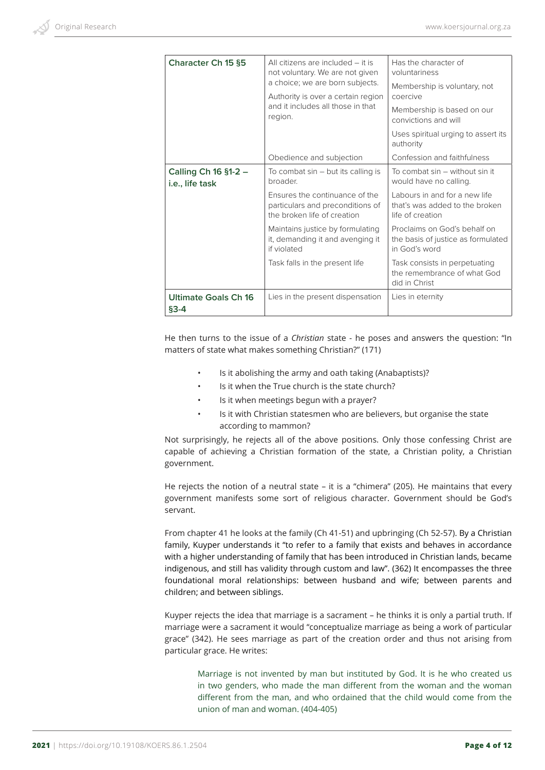| <b>Character Ch 15 §5</b>               | All citizens are included $-$ it is<br>not voluntary. We are not given<br>a choice; we are born subjects. | Has the character of                                                                |
|-----------------------------------------|-----------------------------------------------------------------------------------------------------------|-------------------------------------------------------------------------------------|
|                                         |                                                                                                           | voluntariness                                                                       |
|                                         |                                                                                                           | Membership is voluntary, not<br>coercive                                            |
|                                         | Authority is over a certain region<br>and it includes all those in that<br>region.                        |                                                                                     |
|                                         |                                                                                                           | Membership is based on our<br>convictions and will                                  |
|                                         |                                                                                                           | Uses spiritual urging to assert its<br>authority                                    |
|                                         | Obedience and subjection                                                                                  | Confession and faithfulness                                                         |
| Calling Ch 16 §1-2 -<br>i.e., life task | To combat $sin - but$ its calling is<br>broader.                                                          | To combat sin – without sin it<br>would have no calling.                            |
|                                         | Ensures the continuance of the<br>particulars and preconditions of<br>the broken life of creation         | Labours in and for a new life<br>that's was added to the broken<br>life of creation |
|                                         | Maintains justice by formulating<br>it, demanding it and avenging it<br>if violated                       | Proclaims on God's behalf on<br>the basis of justice as formulated<br>in God's word |
|                                         | Task falls in the present life                                                                            | Task consists in perpetuating<br>the remembrance of what God<br>did in Christ       |
| <b>Ultimate Goals Ch 16</b>             | Lies in the present dispensation                                                                          | Lies in eternity                                                                    |
| $§3 - 4$                                |                                                                                                           |                                                                                     |

He then turns to the issue of a *Christian* state - he poses and answers the question: "In matters of state what makes something Christian?" (171)

- Is it abolishing the army and oath taking (Anabaptists)?
- Is it when the True church is the state church?
- Is it when meetings begun with a prayer?
- Is it with Christian statesmen who are believers, but organise the state according to mammon?

Not surprisingly, he rejects all of the above positions. Only those confessing Christ are capable of achieving a Christian formation of the state, a Christian polity, a Christian government.

He rejects the notion of a neutral state – it is a "chimera" (205). He maintains that every government manifests some sort of religious character. Government should be God's servant.

From chapter 41 he looks at the family (Ch 41-51) and upbringing (Ch 52-57). By a Christian family, Kuyper understands it "to refer to a family that exists and behaves in accordance with a higher understanding of family that has been introduced in Christian lands, became indigenous, and still has validity through custom and law". (362) It encompasses the three foundational moral relationships: between husband and wife; between parents and children; and between siblings.

Kuyper rejects the idea that marriage is a sacrament – he thinks it is only a partial truth. If marriage were a sacrament it would "conceptualize marriage as being a work of particular grace" (342). He sees marriage as part of the creation order and thus not arising from particular grace. He writes:

Marriage is not invented by man but instituted by God. It is he who created us in two genders, who made the man different from the woman and the woman different from the man, and who ordained that the child would come from the union of man and woman. (404-405)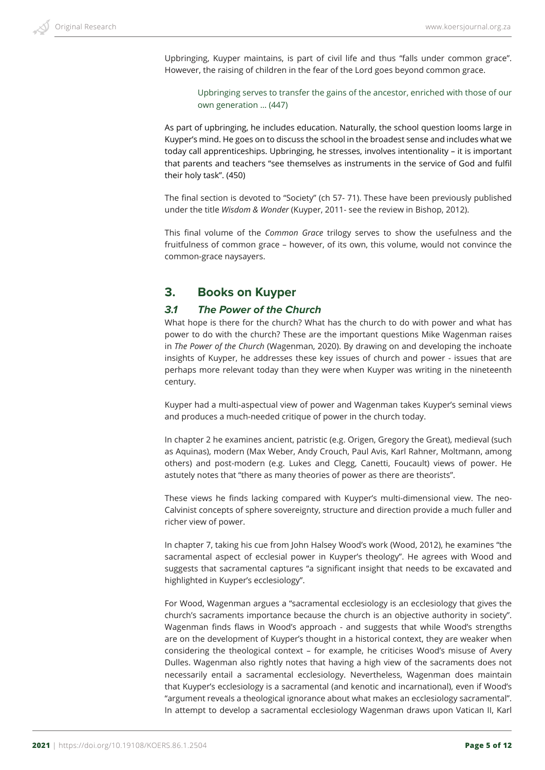Upbringing, Kuyper maintains, is part of civil life and thus "falls under common grace". However, the raising of children in the fear of the Lord goes beyond common grace.

Upbringing serves to transfer the gains of the ancestor, enriched with those of our own generation … (447)

As part of upbringing, he includes education. Naturally, the school question looms large in Kuyper's mind. He goes on to discuss the school in the broadest sense and includes what we today call apprenticeships. Upbringing, he stresses, involves intentionality – it is important that parents and teachers "see themselves as instruments in the service of God and fulfil their holy task". (450)

The final section is devoted to "Society" (ch 57- 71). These have been previously published under the title *Wisdom & Wonder* (Kuyper, 2011- see the review in Bishop, 2012).

This final volume of the *Common Grace* trilogy serves to show the usefulness and the fruitfulness of common grace – however, of its own, this volume, would not convince the common-grace naysayers.

## **3. Books on Kuyper**

#### *3.1 The Power of the Church*

What hope is there for the church? What has the church to do with power and what has power to do with the church? These are the important questions Mike Wagenman raises in *The Power of the Church* (Wagenman, 2020). By drawing on and developing the inchoate insights of Kuyper, he addresses these key issues of church and power - issues that are perhaps more relevant today than they were when Kuyper was writing in the nineteenth century.

Kuyper had a multi-aspectual view of power and Wagenman takes Kuyper's seminal views and produces a much-needed critique of power in the church today.

In chapter 2 he examines ancient, patristic (e.g. Origen, Gregory the Great), medieval (such as Aquinas), modern (Max Weber, Andy Crouch, Paul Avis, Karl Rahner, Moltmann, among others) and post-modern (e.g. Lukes and Clegg, Canetti, Foucault) views of power. He astutely notes that "there as many theories of power as there are theorists".

These views he finds lacking compared with Kuyper's multi-dimensional view. The neo-Calvinist concepts of sphere sovereignty, structure and direction provide a much fuller and richer view of power.

In chapter 7, taking his cue from John Halsey Wood's work (Wood, 2012), he examines "the sacramental aspect of ecclesial power in Kuyper's theology". He agrees with Wood and suggests that sacramental captures "a significant insight that needs to be excavated and highlighted in Kuyper's ecclesiology".

For Wood, Wagenman argues a "sacramental ecclesiology is an ecclesiology that gives the church's sacraments importance because the church is an objective authority in society". Wagenman finds flaws in Wood's approach - and suggests that while Wood's strengths are on the development of Kuyper's thought in a historical context, they are weaker when considering the theological context – for example, he criticises Wood's misuse of Avery Dulles. Wagenman also rightly notes that having a high view of the sacraments does not necessarily entail a sacramental ecclesiology. Nevertheless, Wagenman does maintain that Kuyper's ecclesiology is a sacramental (and kenotic and incarnational), even if Wood's "argument reveals a theological ignorance about what makes an ecclesiology sacramental". In attempt to develop a sacramental ecclesiology Wagenman draws upon Vatican II, Karl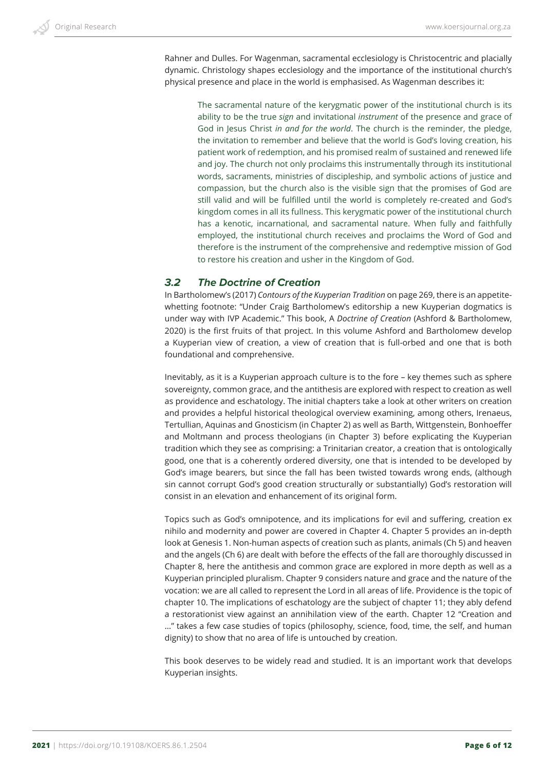Rahner and Dulles. For Wagenman, sacramental ecclesiology is Christocentric and placially dynamic. Christology shapes ecclesiology and the importance of the institutional church's physical presence and place in the world is emphasised. As Wagenman describes it:

The sacramental nature of the kerygmatic power of the institutional church is its ability to be the true *sign* and invitational *instrument* of the presence and grace of God in Jesus Christ *in and for the world*. The church is the reminder, the pledge, the invitation to remember and believe that the world is God's loving creation, his patient work of redemption, and his promised realm of sustained and renewed life and joy. The church not only proclaims this instrumentally through its institutional words, sacraments, ministries of discipleship, and symbolic actions of justice and compassion, but the church also is the visible sign that the promises of God are still valid and will be fulfilled until the world is completely re-created and God's kingdom comes in all its fullness. This kerygmatic power of the institutional church has a kenotic, incarnational, and sacramental nature. When fully and faithfully employed, the institutional church receives and proclaims the Word of God and therefore is the instrument of the comprehensive and redemptive mission of God to restore his creation and usher in the Kingdom of God.

#### *3.2 The Doctrine of Creation*

In Bartholomew's (2017) *Contours of the Kuyperian Tradition* on page 269, there is an appetitewhetting footnote: "Under Craig Bartholomew's editorship a new Kuyperian dogmatics is under way with IVP Academic." This book, A *Doctrine of Creation* (Ashford & Bartholomew, 2020) is the first fruits of that project. In this volume Ashford and Bartholomew develop a Kuyperian view of creation, a view of creation that is full-orbed and one that is both foundational and comprehensive.

Inevitably, as it is a Kuyperian approach culture is to the fore – key themes such as sphere sovereignty, common grace, and the antithesis are explored with respect to creation as well as providence and eschatology. The initial chapters take a look at other writers on creation and provides a helpful historical theological overview examining, among others, Irenaeus, Tertullian, Aquinas and Gnosticism (in Chapter 2) as well as Barth, Wittgenstein, Bonhoeffer and Moltmann and process theologians (in Chapter 3) before explicating the Kuyperian tradition which they see as comprising: a Trinitarian creator, a creation that is ontologically good, one that is a coherently ordered diversity, one that is intended to be developed by God's image bearers, but since the fall has been twisted towards wrong ends, (although sin cannot corrupt God's good creation structurally or substantially) God's restoration will consist in an elevation and enhancement of its original form.

Topics such as God's omnipotence, and its implications for evil and suffering, creation ex nihilo and modernity and power are covered in Chapter 4. Chapter 5 provides an in-depth look at Genesis 1. Non-human aspects of creation such as plants, animals (Ch 5) and heaven and the angels (Ch 6) are dealt with before the effects of the fall are thoroughly discussed in Chapter 8, here the antithesis and common grace are explored in more depth as well as a Kuyperian principled pluralism. Chapter 9 considers nature and grace and the nature of the vocation: we are all called to represent the Lord in all areas of life. Providence is the topic of chapter 10. The implications of eschatology are the subject of chapter 11; they ably defend a restorationist view against an annihilation view of the earth. Chapter 12 "Creation and …" takes a few case studies of topics (philosophy, science, food, time, the self, and human dignity) to show that no area of life is untouched by creation.

This book deserves to be widely read and studied. It is an important work that develops Kuyperian insights.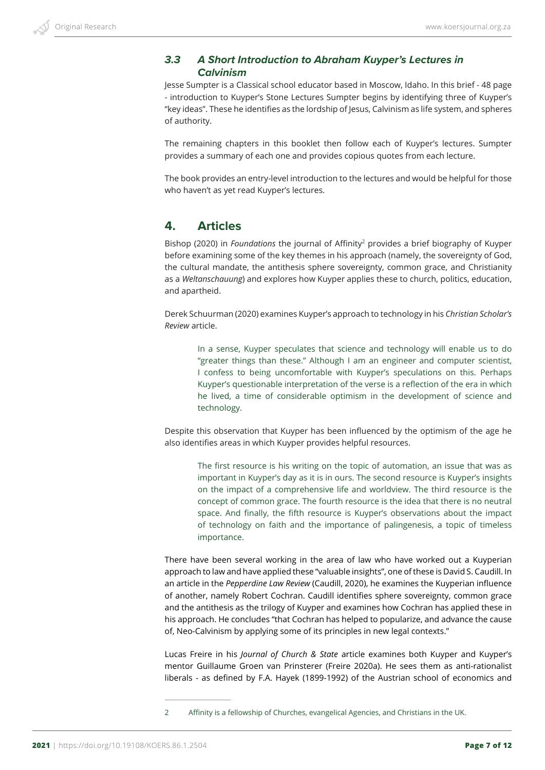## *3.3 A Short Introduction to Abraham Kuyper's Lectures in Calvinism*

Jesse Sumpter is a Classical school educator based in Moscow, Idaho. In this brief - 48 page - introduction to Kuyper's Stone Lectures Sumpter begins by identifying three of Kuyper's "key ideas". These he identifies as the lordship of Jesus, Calvinism as life system, and spheres of authority.

The remaining chapters in this booklet then follow each of Kuyper's lectures. Sumpter provides a summary of each one and provides copious quotes from each lecture.

The book provides an entry-level introduction to the lectures and would be helpful for those who haven't as yet read Kuyper's lectures.

## **4. Articles**

Bishop (2020) in *Foundations* the journal of Affinity<sup>2</sup> provides a brief biography of Kuyper before examining some of the key themes in his approach (namely, the sovereignty of God, the cultural mandate, the antithesis sphere sovereignty, common grace, and Christianity as a *Weltanschauung*) and explores how Kuyper applies these to church, politics, education, and apartheid.

Derek Schuurman (2020) examines Kuyper's approach to technology in his *Christian Scholar's Review* article.

In a sense, Kuyper speculates that science and technology will enable us to do "greater things than these." Although I am an engineer and computer scientist, I confess to being uncomfortable with Kuyper's speculations on this. Perhaps Kuyper's questionable interpretation of the verse is a reflection of the era in which he lived, a time of considerable optimism in the development of science and technology.

Despite this observation that Kuyper has been influenced by the optimism of the age he also identifies areas in which Kuyper provides helpful resources.

The first resource is his writing on the topic of automation, an issue that was as important in Kuyper's day as it is in ours. The second resource is Kuyper's insights on the impact of a comprehensive life and worldview. The third resource is the concept of common grace. The fourth resource is the idea that there is no neutral space. And finally, the fifth resource is Kuyper's observations about the impact of technology on faith and the importance of palingenesis, a topic of timeless importance.

There have been several working in the area of law who have worked out a Kuyperian approach to law and have applied these "valuable insights", one of these is David S. Caudill. In an article in the *Pepperdine Law Review* (Caudill, 2020), he examines the Kuyperian influence of another, namely Robert Cochran. Caudill identifies sphere sovereignty, common grace and the antithesis as the trilogy of Kuyper and examines how Cochran has applied these in his approach. He concludes "that Cochran has helped to popularize, and advance the cause of, Neo-Calvinism by applying some of its principles in new legal contexts."

Lucas Freire in his *Journal of Church & State* article examines both Kuyper and Kuyper's mentor Guillaume Groen van Prinsterer (Freire 2020a). He sees them as anti-rationalist liberals - as defined by F.A. Hayek (1899-1992) of the Austrian school of economics and

<sup>2</sup> Affinity is a fellowship of Churches, evangelical Agencies, and Christians in the UK.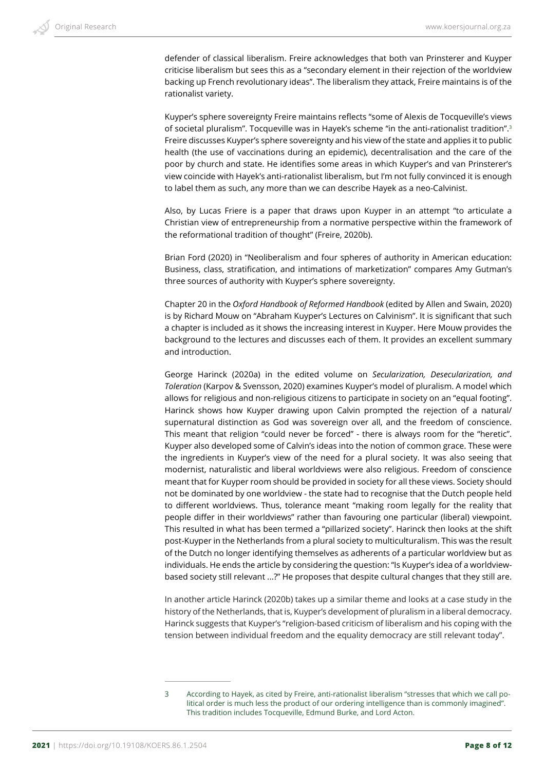defender of classical liberalism. Freire acknowledges that both van Prinsterer and Kuyper criticise liberalism but sees this as a "secondary element in their rejection of the worldview backing up French revolutionary ideas". The liberalism they attack, Freire maintains is of the rationalist variety.

Kuyper's sphere sovereignty Freire maintains reflects "some of Alexis de Tocqueville's views of societal pluralism". Tocqueville was in Hayek's scheme "in the anti-rationalist tradition".3 Freire discusses Kuyper's sphere sovereignty and his view of the state and applies it to public health (the use of vaccinations during an epidemic), decentralisation and the care of the poor by church and state. He identifies some areas in which Kuyper's and van Prinsterer's view coincide with Hayek's anti-rationalist liberalism, but I'm not fully convinced it is enough to label them as such, any more than we can describe Hayek as a neo-Calvinist.

Also, by Lucas Friere is a paper that draws upon Kuyper in an attempt "to articulate a Christian view of entrepreneurship from a normative perspective within the framework of the reformational tradition of thought" (Freire, 2020b).

Brian Ford (2020) in "Neoliberalism and four spheres of authority in American education: Business, class, stratification, and intimations of marketization" compares Amy Gutman's three sources of authority with Kuyper's sphere sovereignty.

Chapter 20 in the *Oxford Handbook of Reformed Handbook* (edited by Allen and Swain, 2020) is by Richard Mouw on "Abraham Kuyper's Lectures on Calvinism". It is significant that such a chapter is included as it shows the increasing interest in Kuyper. Here Mouw provides the background to the lectures and discusses each of them. It provides an excellent summary and introduction.

George Harinck (2020a) in the edited volume on *Secularization, Desecularization, and Toleration* (Karpov & Svensson, 2020) examines Kuyper's model of pluralism. A model which allows for religious and non-religious citizens to participate in society on an "equal footing". Harinck shows how Kuyper drawing upon Calvin prompted the rejection of a natural/ supernatural distinction as God was sovereign over all, and the freedom of conscience. This meant that religion "could never be forced" - there is always room for the "heretic". Kuyper also developed some of Calvin's ideas into the notion of common grace. These were the ingredients in Kuyper's view of the need for a plural society. It was also seeing that modernist, naturalistic and liberal worldviews were also religious. Freedom of conscience meant that for Kuyper room should be provided in society for all these views. Society should not be dominated by one worldview - the state had to recognise that the Dutch people held to different worldviews. Thus, tolerance meant "making room legally for the reality that people differ in their worldviews" rather than favouring one particular (liberal) viewpoint. This resulted in what has been termed a "pillarized society". Harinck then looks at the shift post-Kuyper in the Netherlands from a plural society to multiculturalism. This was the result of the Dutch no longer identifying themselves as adherents of a particular worldview but as individuals. He ends the article by considering the question: "Is Kuyper's idea of a worldviewbased society still relevant ...?" He proposes that despite cultural changes that they still are.

In another article Harinck (2020b) takes up a similar theme and looks at a case study in the history of the Netherlands, that is, Kuyper's development of pluralism in a liberal democracy. Harinck suggests that Kuyper's "religion-based criticism of liberalism and his coping with the tension between individual freedom and the equality democracy are still relevant today".

<sup>3</sup> According to Hayek, as cited by Freire, anti-rationalist liberalism "stresses that which we call political order is much less the product of our ordering intelligence than is commonly imagined". This tradition includes Tocqueville, Edmund Burke, and Lord Acton.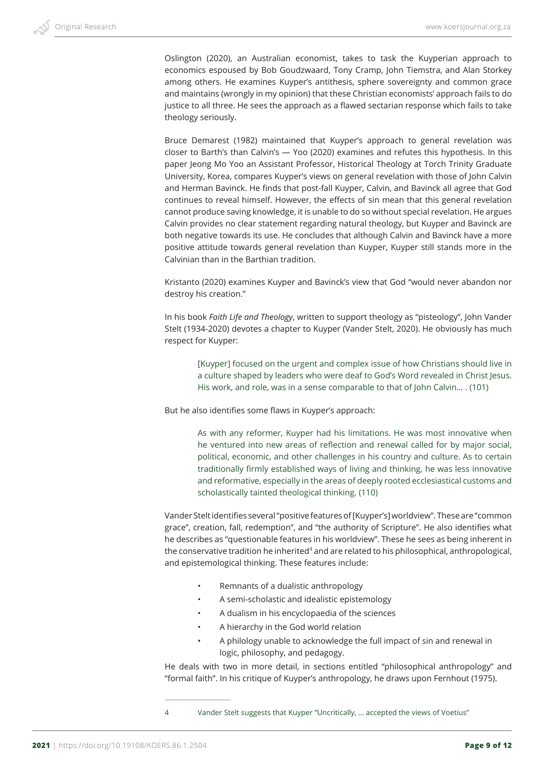Oslington (2020), an Australian economist, takes to task the Kuyperian approach to economics espoused by Bob Goudzwaard, Tony Cramp, John Tiemstra, and Alan Storkey among others. He examines Kuyper's antithesis, sphere sovereignty and common grace and maintains (wrongly in my opinion) that these Christian economists' approach fails to do justice to all three. He sees the approach as a flawed sectarian response which fails to take theology seriously.

Bruce Demarest (1982) maintained that Kuyper's approach to general revelation was closer to Barth's than Calvin's — Yoo (2020) examines and refutes this hypothesis. In this paper Jeong Mo Yoo an Assistant Professor, Historical Theology at Torch Trinity Graduate University, Korea, compares Kuyper's views on general revelation with those of John Calvin and Herman Bavinck. He finds that post-fall Kuyper, Calvin, and Bavinck all agree that God continues to reveal himself. However, the effects of sin mean that this general revelation cannot produce saving knowledge, it is unable to do so without special revelation. He argues Calvin provides no clear statement regarding natural theology, but Kuyper and Bavinck are both negative towards its use. He concludes that although Calvin and Bavinck have a more positive attitude towards general revelation than Kuyper, Kuyper still stands more in the Calvinian than in the Barthian tradition.

Kristanto (2020) examines Kuyper and Bavinck's view that God "would never abandon nor destroy his creation."

In his book *Faith Life and Theology*, written to support theology as "pisteology", John Vander Stelt (1934-2020) devotes a chapter to Kuyper (Vander Stelt, 2020). He obviously has much respect for Kuyper:

[Kuyper] focused on the urgent and complex issue of how Christians should live in a culture shaped by leaders who were deaf to God's Word revealed in Christ Jesus. His work, and role, was in a sense comparable to that of John Calvin… . (101)

But he also identifies some flaws in Kuyper's approach:

As with any reformer, Kuyper had his limitations. He was most innovative when he ventured into new areas of reflection and renewal called for by major social, political, economic, and other challenges in his country and culture. As to certain traditionally firmly established ways of living and thinking, he was less innovative and reformative, especially in the areas of deeply rooted ecclesiastical customs and scholastically tainted theological thinking. (110)

Vander Stelt identifies several "positive features of [Kuyper's] worldview". These are "common grace", creation, fall, redemption", and "the authority of Scripture". He also identifies what he describes as "questionable features in his worldview". These he sees as being inherent in the conservative tradition he inherited<sup>4</sup> and are related to his philosophical, anthropological, and epistemological thinking. These features include:

- Remnants of a dualistic anthropology
- A semi-scholastic and idealistic epistemology
- A dualism in his encyclopaedia of the sciences
- A hierarchy in the God world relation
- A philology unable to acknowledge the full impact of sin and renewal in logic, philosophy, and pedagogy.

He deals with two in more detail, in sections entitled "philosophical anthropology" and "formal faith". In his critique of Kuyper's anthropology, he draws upon Fernhout (1975).

4 Vander Stelt suggests that Kuyper "Uncritically, … accepted the views of Voetius"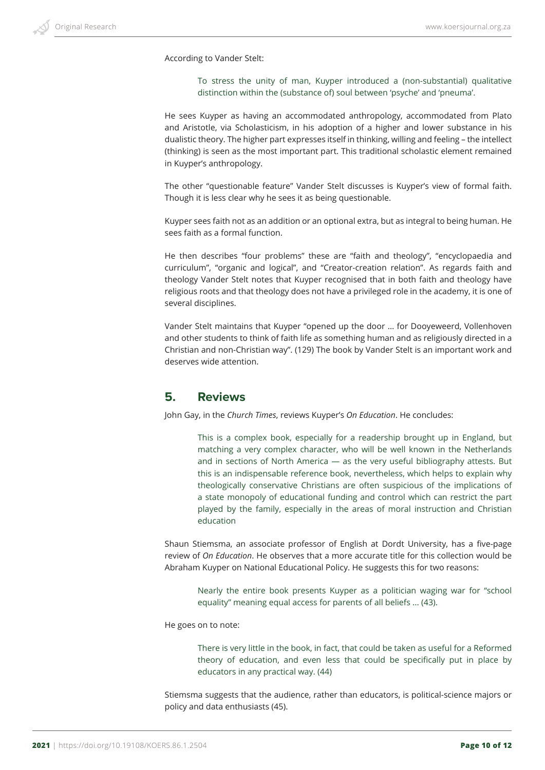According to Vander Stelt:

To stress the unity of man, Kuyper introduced a (non-substantial) qualitative distinction within the (substance of) soul between 'psyche' and 'pneuma'.

He sees Kuyper as having an accommodated anthropology, accommodated from Plato and Aristotle, via Scholasticism, in his adoption of a higher and lower substance in his dualistic theory. The higher part expresses itself in thinking, willing and feeling – the intellect (thinking) is seen as the most important part. This traditional scholastic element remained in Kuyper's anthropology.

The other "questionable feature" Vander Stelt discusses is Kuyper's view of formal faith. Though it is less clear why he sees it as being questionable.

Kuyper sees faith not as an addition or an optional extra, but as integral to being human. He sees faith as a formal function.

He then describes "four problems" these are "faith and theology", "encyclopaedia and curriculum", "organic and logical", and "Creator-creation relation". As regards faith and theology Vander Stelt notes that Kuyper recognised that in both faith and theology have religious roots and that theology does not have a privileged role in the academy, it is one of several disciplines.

Vander Stelt maintains that Kuyper "opened up the door … for Dooyeweerd, Vollenhoven and other students to think of faith life as something human and as religiously directed in a Christian and non-Christian way". (129) The book by Vander Stelt is an important work and deserves wide attention.

## **5. Reviews**

John Gay, in the *Church Times*, reviews Kuyper's *On Education*. He concludes:

This is a complex book, especially for a readership brought up in England, but matching a very complex character, who will be well known in the Netherlands and in sections of North America — as the very useful bibliography attests. But this is an indispensable reference book, nevertheless, which helps to explain why theologically conservative Christians are often suspicious of the implications of a state monopoly of educational funding and control which can restrict the part played by the family, especially in the areas of moral instruction and Christian education

Shaun Stiemsma, an associate professor of English at Dordt University, has a five-page review of *On Education*. He observes that a more accurate title for this collection would be Abraham Kuyper on National Educational Policy. He suggests this for two reasons:

Nearly the entire book presents Kuyper as a politician waging war for "school equality" meaning equal access for parents of all beliefs ... (43).

He goes on to note:

There is very little in the book, in fact, that could be taken as useful for a Reformed theory of education, and even less that could be specifically put in place by educators in any practical way. (44)

Stiemsma suggests that the audience, rather than educators, is political-science majors or policy and data enthusiasts (45).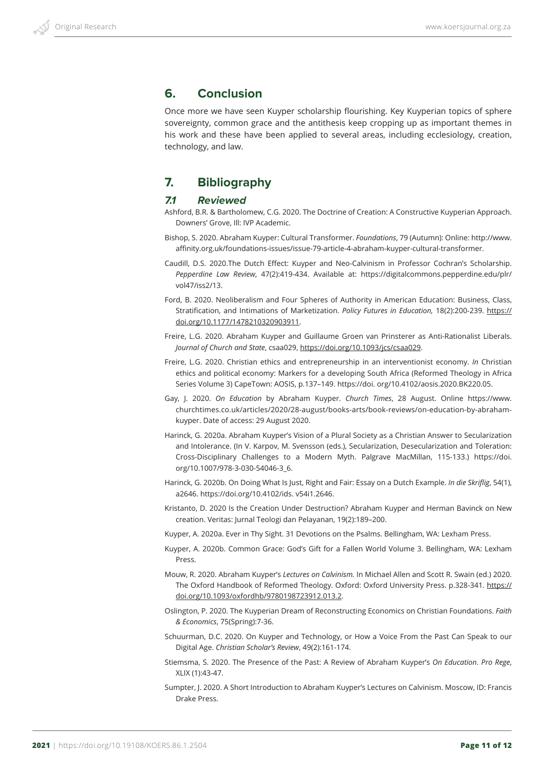## **6. Conclusion**

Once more we have seen Kuyper scholarship flourishing. Key Kuyperian topics of sphere sovereignty, common grace and the antithesis keep cropping up as important themes in his work and these have been applied to several areas, including ecclesiology, creation, technology, and law.

# **7. Bibliography**

#### *7.1 Reviewed*

- Ashford, B.R. & Bartholomew, C.G. 2020. The Doctrine of Creation: A Constructive Kuyperian Approach. Downers' Grove, Ill: IVP Academic.
- Bishop, S. 2020. Abraham Kuyper: Cultural Transformer. *Foundations*, 79 (Autumn): Online: http://www. affinity.org.uk/foundations-issues/issue-79-article-4-abraham-kuyper-cultural-transformer.
- Caudill, D.S. 2020.The Dutch Effect: Kuyper and Neo-Calvinism in Professor Cochran's Scholarship. *Pepperdine Law Review*, 47(2):419-434. Available at: https://digitalcommons.pepperdine.edu/plr/ vol47/iss2/13.
- Ford, B. 2020. Neoliberalism and Four Spheres of Authority in American Education: Business, Class, Stratification, and Intimations of Marketization. *Policy Futures in Education,* 18(2):200-239. https:// doi.org/10.1177/1478210320903911.
- Freire, L.G. 2020. Abraham Kuyper and Guillaume Groen van Prinsterer as Anti-Rationalist Liberals. *Journal of Church and State*, csaa029, https://doi.org/10.1093/jcs/csaa029.
- Freire, L.G. 2020. Christian ethics and entrepreneurship in an interventionist economy. *In* Christian ethics and political economy: Markers for a developing South Africa (Reformed Theology in Africa Series Volume 3) CapeTown: AOSIS, p.137–149. https://doi. org/10.4102/aosis.2020.BK220.05.
- Gay, J. 2020. *On Education* by Abraham Kuyper. *Church Times*, 28 August. Online https://www. churchtimes.co.uk/articles/2020/28-august/books-arts/book-reviews/on-education-by-abrahamkuyper. Date of access: 29 August 2020.
- Harinck, G. 2020a. Abraham Kuyper's Vision of a Plural Society as a Christian Answer to Secularization and Intolerance. (In V. Karpov, M. Svensson (eds.), Secularization, Desecularization and Toleration: Cross-Disciplinary Challenges to a Modern Myth. Palgrave MacMillan, 115-133.) https://doi. org/10.1007/978-3-030-54046-3\_6.
- Harinck, G. 2020b. On Doing What Is Just, Right and Fair: Essay on a Dutch Example. *In die Skriflig*, 54(1), a2646. https://doi.org/10.4102/ids. v54i1.2646.
- Kristanto, D. 2020 Is the Creation Under Destruction? Abraham Kuyper and Herman Bavinck on New creation. Veritas: Jurnal Teologi dan Pelayanan, 19(2):189–200.
- Kuyper, A. 2020a. Ever in Thy Sight. 31 Devotions on the Psalms. Bellingham, WA: Lexham Press.
- Kuyper, A. 2020b. Common Grace: God's Gift for a Fallen World Volume 3. Bellingham, WA: Lexham Press.
- Mouw, R. 2020. Abraham Kuyper's *Lectures on Calvinism.* In Michael Allen and Scott R. Swain (ed.) 2020. The Oxford Handbook of Reformed Theology. Oxford: Oxford University Press. p.328-341. https:// doi.org/10.1093/oxfordhb/9780198723912.013.2.
- Oslington, P. 2020. The Kuyperian Dream of Reconstructing Economics on Christian Foundations. *Faith & Economics*, 75(Spring):7-36.
- Schuurman, D.C. 2020. On Kuyper and Technology, or How a Voice From the Past Can Speak to our Digital Age. *Christian Scholar's Review*, 49(2):161-174.
- Stiemsma, S. 2020. The Presence of the Past: A Review of Abraham Kuyper's *On Education*. *Pro Rege*, XLIX (1):43-47.
- Sumpter, J. 2020. A Short Introduction to Abraham Kuyper's Lectures on Calvinism. Moscow, ID: Francis Drake Press.